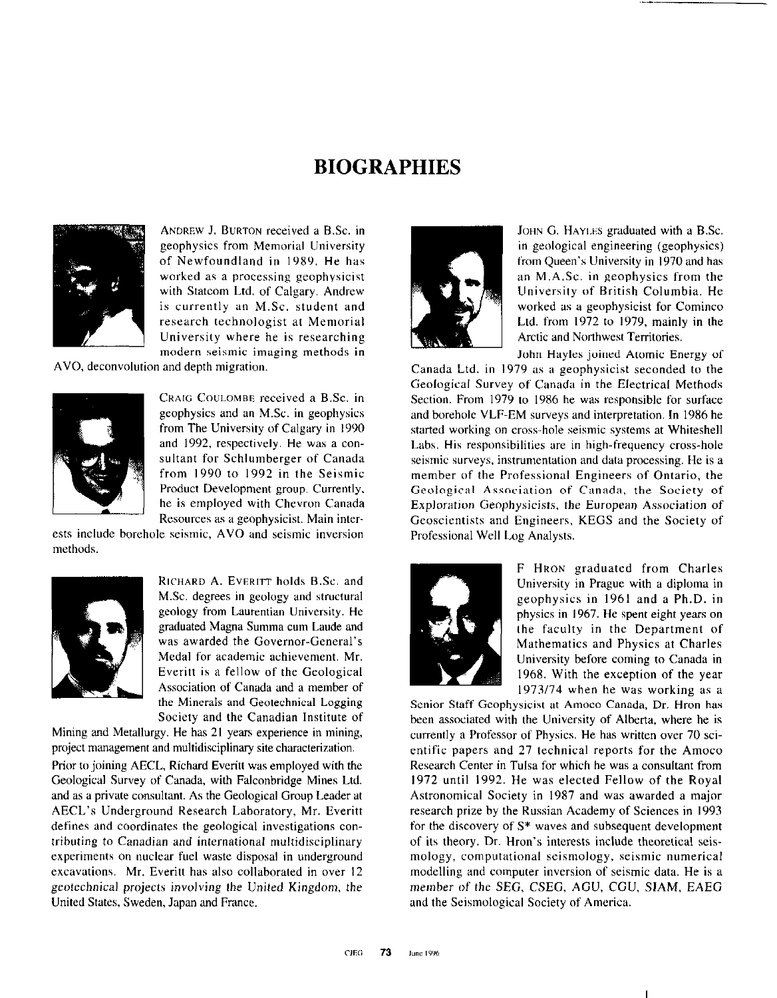## BIOGRAPHIES



ANDREW J. BURTON received a B.Sc. in geophysics from Memorial University of Newfoundland in 1989. He has worked as a processing geophysicist with Statcom Ltd. of Calgary. Andrew is currently an M.Sc. student and research technologist at Memorial University where he is researching modern seismic imaging methods in

AVO, deconvolution and depth migration.



CRAIG COULOMBE received a B.Sc. in geophysics and an M.Sc. in geophysics from The University of Calgary in 1990 and 1992, respectively. He was a consultant for Schlumberger of Canada from 1990 to 1992 in the Seismic Product Development group. Currently. he is employed with Chevron Canada Resources as a geophysicist. Main inter-

ests include borehole seismic, AVO and seismic inversion methods.



RICHARD A. EVERITT holds B.Sc. and M.Sc. degrees in geology and structural geology from Laurentian University. He graduated Magna Summa cum Laude and was awarded the Governor-General's Medal for academic achievement. Mr. Everitt is a fellow of the Geological Association of Canada and a member of the Minerals and Geotechnical Logging Society and the Canadian Institute of

Mining and Metallurgy. He has 21 years experience in mining, project management and multidisciplinary site characterization.

Prior to joining AECL, Richard Everitt was employed with the Geological Survey of Canada, with Falconbridge Mines Ltd. and as a private consultant. As the Geological Group Leader at AECL's Underground Research Laboratory, Mr. Everitt defines and coordinates the geological investigations contributing to Canadian and international multidisciplinary experiments on nuclear fuel waste disposal in underground excavations. Mr. Everitt has also collaborated in over 12 geotechnical projects involving the United Kingdom, the United States, Sweden, Japan and France.



JOHN G. HAYLES graduated with a B.Sc. in geological engineering (geophysics) from Queen's University in 1970 and has an M.A.Sc. in geophysics from the University of British Columbia. He worked as a geophysicist for Cominco Ltd. from 1972 to 1979, mainly in the Arctic and Northwest Territories.

John Hayles joined Atomic Energy of Canada Ltd. in I979 as a geophysicist seconded to the Geological Survey of Canada in the Electrical Methods Section. From 1979 to 1986 he was responsible for surface and borehole VLF-EM surveys and interpretation. In 1986 he started working on cross-hole seismic systems at Whiteshell Labs. His responsibilities are in high-frequency cross-hole seismic surveys. instrumentation and data processing. He is a member of the Professional Engineers of Ontario, the Geological Association of Canada, the Society of Exploration Geophysicists, the European Association of Geoscientists and Engineers, KEGS and the Society of Professional Well Log Analysts.



F HRON graduated from Charles University in Prague with a diploma in geophysics in 1961 and a Ph.D. in physics in 1967. He spent eight years on the faculty in the Department of Mathematics and Physics at Charles University before coming to Canada in 1968. With the exception of the year  $1973/74$  when he was working as a

Senior Staff Geophysicist at Amoco Canada, Dr. Hron has been associated with the University of Alberta, where he is currently a Professor of Physics. He has written over 70 scientific papers and 27 technical reports for the Amoco Research Center in Tulsa for which he was a consultant from I972 until 1992. He was elected Fellow of the Royal Astronomical Society in 1987 and was awarded a major research prize by the Russian Academy of Sciences in I993 for the discovery of S\* waves and subsequent development of its theory. Dr. Hron's interests include theoretical seismology, computational seismology, seismic numerical modelling and computer inversion of seismic data. He is a member of the SEC, CSEG, AGU, CGU. SIAM, EAEG and the Seismological Society of America.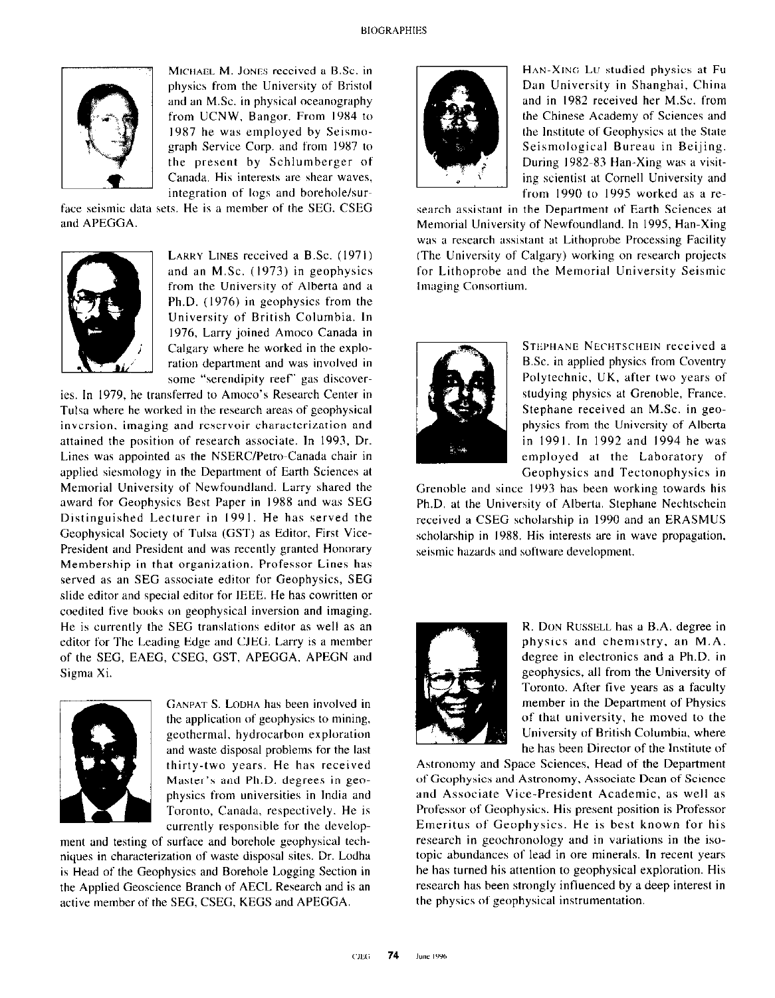

MICHAEL M. JONES received a B.Sc. in physics from the University of Bristol and an M.Sc. in physical oceanography from UCNW, Bangor. From 1984 to 1987 he was employed by Seismograph Service Corp. and from 1987 to the present by Schlumberger of Canada. His interests are shear waves, integration of logs and borehole/sur-

face seismic data sets. He is a member of the SEG. CSEG and APEGGA.



LARRY LINES received a B.Sc. (1971) and an M.Sc. (1973) in geophysics from the University of Alberta and a Ph.D. (1976) in geophysics from the University of British Columbia. In 1976, Larry joined Amoco Canada in Calgary where he worked in the exploration department and was involved in some "serendipity reef' gas discover-

ies. In 1979, he transferred to Amoco's Research Center in Tulsa where he worked in the research areas of geophysical inversion, imaging and reservoir characterization and attained the position of research associate. In 1993, Dr. Lines was appointed as the NSERC/Petro-Canada chair in applied siesmology in the Department of Earth Sciences at Memorial University of Newfoundland. Larry shared the award for Geophysics Best Paper in 1988 and was SEC Distinguished Lecturer in 1991. He has served the Geophysical Society of Tulsa (GST) as Editor, First Vice-President and President and was recently granted Honorary Membership in that organization. Professor Lines has served as an SEC associate editor for Geophysics, SEC slide editor and special editor for IEEE. He has cowritten or coedited five books on geophysical inversion and imaging. He is currently the SEC translations editor as well as an editor for The Leading Edge and CJEG. Larry is a member of the SEG, EAEG, CSEG, GST, APEGGA, APEGN and Sigma Xi.



thirt<br>
Mas<br>
phys<br>
Toro<br>
curre GANPAT S. LODHA has been involved in the application of geophysics to mining, geothermal, hydrocarbon exploration and waste disposal problems for the last thirty-two years. He has received Master's and Ph.D. degrees in geophysics from universities in India and Toronto, Canada, respectively. He is currently responsible for the develop-

ment and testing of surface and borehole geophysical techniques in characterization of waste disposal sites. Dr. Lodha is Head of the Geophysics and Borehole Logging Section in the Applied Geoscience Branch of AECL Research and is an active member of the SEC, CSEG, KEGS and APEGGA.



HAN-XING Lu studied physics at Fu Dan University in Shanghai, Chine and in 1982 received her M.Sc. from the Chinese Academy of Sciences and the Institute of Geophysics at the State Seismological Bureau in Beijing. During 1982-83 Han-Xing was a visiting scientist at Cornell University and from  $1990$  to  $1995$  worked as a re-

search assistant in the Department of Earth Sciences at Memorial University of Newfoundland. In 1995, Han-Xing was a research assistant at Lithoprobe Processing Facility (The University of Calgary) working on research projects for Lithoprobe and the Memorial University Seismic Imaging Consortium.



STEPHANE NECHTSCHEIN received a B.Sc. in applied physics from Coventry Polytechnic, UK. after two years of studying physics at Grenoble, France. Stephane received an M.Sc. in geophysics from the University of Alberta in 1991. In 1992 and 1994 he was employed at the Laboratory of Geophysics and Tectonophysics in

Grenoble and since I993 has been working towards his Ph.D. at the University of Alberta. Stephane Nechtschein received a CSEG scholarship in 1990 and an ERASMUS scholarship in 1988. His interests are in wave propagation, seismic hazards and software development.



R. DON RUSSELL has a B.A. degree in physics and chemistry. an M.A. degree in electronics and a Ph.D. in geophysics, all from the University of Toronto. After five years as a faculty member in the Department of Physics of that university. he moved to the University of British Columbia. where he has been Director of the Institute of

Astronomy and Space Sciences, Head of the Department of Geophysics and Astronomy, Associate Dean of Science and Associate Vice-President Academic, as well as Professor of Geophysics. His present position is Professor Emeritus of Geophysics. He is best known for his research in geochronology and in variations in the isotopic abundances of lead in ore minerals. In recent years he has turned his attention to geophysical exploration. His research has been strongly influenced by a deep interest in the physics of geophysical instrumentation.